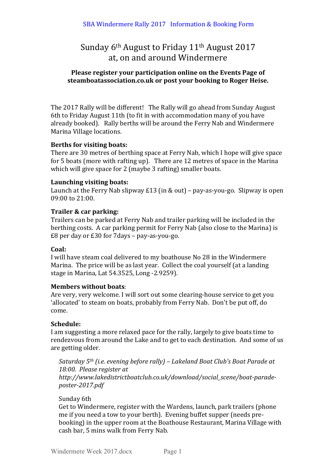## Sunday 6<sup>th</sup> August to Friday 11<sup>th</sup> August 2017 at, on and around Windermere

## Please register your participation online on the Events Page of steamboatassociation.co.uk or post your booking to Roger Heise.

The 2017 Rally will be different! The Rally will go ahead from Sunday August 6th to Friday August 11th (to fit in with accommodation many of you have already booked). Rally berths will be around the Ferry Nab and Windermere Marina Village locations.

## Berths for visiting boats:

There are 30 metres of berthing space at Ferry Nab, which I hope will give space for 5 boats (more with rafting up). There are 12 metres of space in the Marina which will give space for 2 (maybe 3 rafting) smaller boats.

## Launching visiting boats:

Launch at the Ferry Nab slipway  $E13$  (in & out) – pay-as-you-go. Slipway is open  $09:00$  to  $21:00$ .

## **Trailer & car parking:**

Trailers can be parked at Ferry Nab and trailer parking will be included in the berthing costs. A car parking permit for Ferry Nab (also close to the Marina) is  $£8$  per day or  $£30$  for  $7$ days – pay-as-you-go.

## **Coal:**

I will have steam coal delivered to my boathouse No 28 in the Windermere Marina. The price will be as last year. Collect the coal yourself (at a landing stage in Marina, Lat 54.3525, Long -2.9259).

## **Members without boats:**

Are very, very welcome. I will sort out some clearing-house service to get you 'allocated' to steam on boats, probably from Ferry Nab. Don't be put off, do come.

## **Schedule:**

I am suggesting a more relaxed pace for the rally, largely to give boats time to rendezvous from around the Lake and to get to each destination. And some of us are getting older.

*Saturday* 5<sup>th</sup> *(i.e. evening before rally)* – Lakeland Boat Club's Boat Parade at 18:00. Please register at *http://www.lakedistrictboatclub.co.uk/download/social\_scene/boat-paradeposter-2017.pdf*

## Sunday 6th

Get to Windermere, register with the Wardens, launch, park trailers (phone me if you need a tow to your berth). Evening buffet supper (needs prebooking) in the upper room at the Boathouse Restaurant, Marina Village with cash bar, 5 mins walk from Ferry Nab.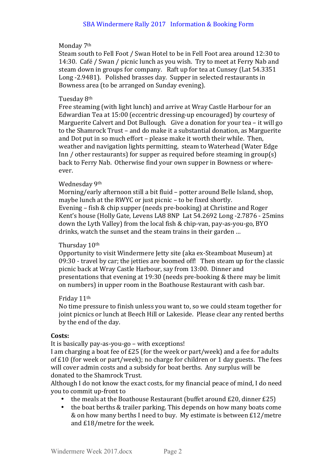#### Monday 7<sup>th</sup>

Steam south to Fell Foot / Swan Hotel to be in Fell Foot area around 12:30 to 14:30. Café / Swan / picnic lunch as you wish. Try to meet at Ferry Nab and steam down in groups for company. Raft up for tea at Cunsey (Lat 54.3351) Long -2.9481). Polished brasses day. Supper in selected restaurants in Bowness area (to be arranged on Sunday evening).

#### Tuesday 8<sup>th</sup>

Free steaming (with light lunch) and arrive at Wray Castle Harbour for an Edwardian Tea at 15:00 (eccentric dressing-up encouraged) by courtesy of Marguerite Calvert and Dot Bullough. Give a donation for your tea  $-$  it will go to the Shamrock Trust – and do make it a substantial donation, as Marguerite and Dot put in so much effort - please make it worth their while. Then, weather and navigation lights permitting, steam to Waterhead (Water Edge) Inn / other restaurants) for supper as required before steaming in group(s) back to Ferry Nab. Otherwise find your own supper in Bowness or whereever.

#### Wednesday 9th

Morning/early afternoon still a bit fluid - potter around Belle Island, shop, maybe lunch at the RWYC or just picnic – to be fixed shortly. Evening – fish & chip supper (needs pre-booking) at Christine and Roger Kent's house (Holly Gate, Levens LA8 8NP Lat 54.2692 Long -2.7876 - 25mins down the Lyth Valley) from the local fish & chip-van, pay-as-you-go, BYO drinks, watch the sunset and the steam trains in their garden ...

#### Thursday 10th

Opportunity to visit Windermere Jetty site (aka ex-Steamboat Museum) at  $09:30$  - travel by car; the jetties are boomed off! Then steam up for the classic picnic back at Wray Castle Harbour, say from 13:00. Dinner and presentations that evening at 19:30 (needs pre-booking  $&$  there may be limit on numbers) in upper room in the Boathouse Restaurant with cash bar.

#### Friday 11<sup>th</sup>

No time pressure to finish unless you want to, so we could steam together for joint picnics or lunch at Beech Hill or Lakeside. Please clear any rented berths by the end of the day.

#### **Costs:**

It is basically pay-as-you-go – with exceptions!

I am charging a boat fee of  $E25$  (for the week or part/week) and a fee for adults of  $E10$  (for week or part/week); no charge for children or 1 day guests. The fees will cover admin costs and a subsidy for boat berths. Any surplus will be donated to the Shamrock Trust.

Although I do not know the exact costs, for my financial peace of mind, I do need you to commit up-front to

- the meals at the Boathouse Restaurant (buffet around  $£20$ , dinner  $£25$ )
- the boat berths & trailer parking. This depends on how many boats come & on how many berths I need to buy. My estimate is between £12/metre and £18/metre for the week.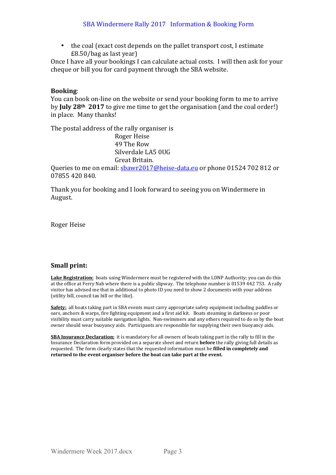the coal (exact cost depends on the pallet transport cost, I estimate  $£8.50/b$ ag as last year)

Once I have all your bookings I can calculate actual costs. I will then ask for your cheque or bill you for card payment through the SBA website.

## **Booking**:

You can book on-line on the website or send your booking form to me to arrive by **July 28<sup>th</sup>** 2017 to give me time to get the organisation (and the coal order!) in place. Many thanks!

The postal address of the rally organiser is Roger Heise 49 The Row Silverdale LA5 0UG Great Britain.

Queries to me on email:  $\frac{\text{bawr2017@heise-data.eu}}{\text{biewr2017@heise-data.eu}}$  or phone 01524 702 812 or 07855 420 840.

Thank you for booking and I look forward to seeing you on Windermere in August.

Roger Heise

## **Small print:**

**Lake Registration:** boats using Windermere must be registered with the LDNP Authority; you can do this at the office at Ferry Nab where there is a public slipway. The telephone number is 01539 442 753. A rally visitor has advised me that in additional to photo ID you need to show 2 documents with your address (utility bill, council tax bill or the like).

**Safety:** all boats taking part in SBA events must carry appropriate safety equipment including paddles or oars, anchors & warps, fire fighting equipment and a first aid kit. Boats steaming in darkness or poor visibility must carry suitable navigation lights. Non-swimmers and any others required to do so by the boat owner should wear buoyancy aids. Participants are responsible for supplying their own buoyancy aids.

**SBA Insurance Declaration:** it is mandatory for all owners of boats taking part in the rally to fill in the Insurance Declaration form provided on a separate sheet and return **before** the rally giving full details as requested. The form clearly states that the requested information must be **filled in completely and** returned to the event organiser before the boat can take part at the event.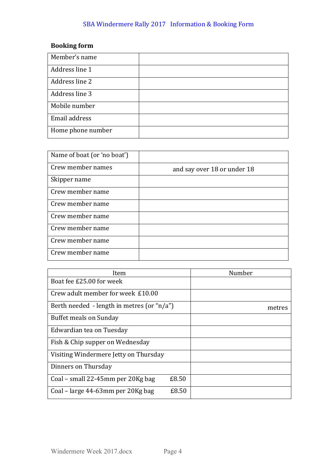## SBA Windermere Rally 2017 Information & Booking Form

## **Booking** form

| Member's name     |  |
|-------------------|--|
| Address line 1    |  |
| Address line 2    |  |
| Address line 3    |  |
| Mobile number     |  |
| Email address     |  |
| Home phone number |  |

| Name of boat (or 'no boat') |                             |
|-----------------------------|-----------------------------|
| Crew member names           | and say over 18 or under 18 |
| Skipper name                |                             |
| Crew member name            |                             |
| Crew member name            |                             |
| Crew member name            |                             |
| Crew member name            |                             |
| Crew member name            |                             |
| Crew member name            |                             |

| Item                                           | Number |
|------------------------------------------------|--------|
| Boat fee £25.00 for week                       |        |
| Crew adult member for week £10.00              |        |
| Berth needed - length in metres (or " $n/a$ ") | metres |
| Buffet meals on Sunday                         |        |
| Edwardian tea on Tuesday                       |        |
| Fish & Chip supper on Wednesday                |        |
| Visiting Windermere Jetty on Thursday          |        |
| Dinners on Thursday                            |        |
| £8.50<br>Coal – small 22-45mm per 20Kg bag     |        |
| £8.50<br>Coal – large 44-63mm per 20Kg bag     |        |